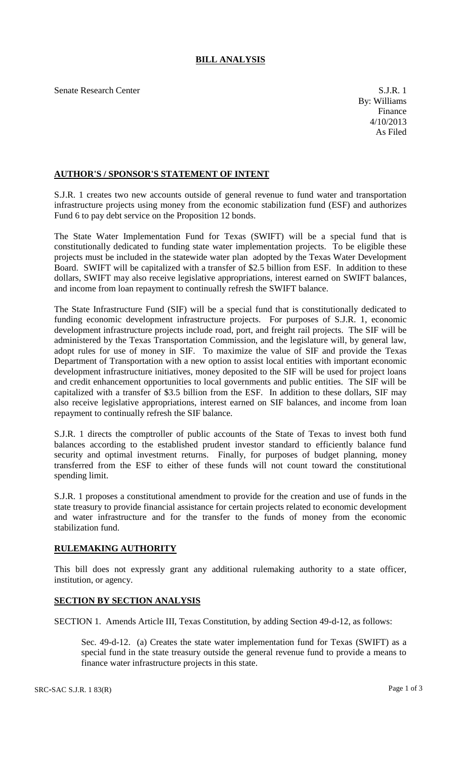## **BILL ANALYSIS**

Senate Research Center S.J.R. 1

## **AUTHOR'S / SPONSOR'S STATEMENT OF INTENT**

S.J.R. 1 creates two new accounts outside of general revenue to fund water and transportation infrastructure projects using money from the economic stabilization fund (ESF) and authorizes Fund 6 to pay debt service on the Proposition 12 bonds.

The State Water Implementation Fund for Texas (SWIFT) will be a special fund that is constitutionally dedicated to funding state water implementation projects. To be eligible these projects must be included in the statewide water plan adopted by the Texas Water Development Board. SWIFT will be capitalized with a transfer of \$2.5 billion from ESF. In addition to these dollars, SWIFT may also receive legislative appropriations, interest earned on SWIFT balances, and income from loan repayment to continually refresh the SWIFT balance.

The State Infrastructure Fund (SIF) will be a special fund that is constitutionally dedicated to funding economic development infrastructure projects. For purposes of S.J.R. 1, economic development infrastructure projects include road, port, and freight rail projects. The SIF will be administered by the Texas Transportation Commission, and the legislature will, by general law, adopt rules for use of money in SIF. To maximize the value of SIF and provide the Texas Department of Transportation with a new option to assist local entities with important economic development infrastructure initiatives, money deposited to the SIF will be used for project loans and credit enhancement opportunities to local governments and public entities. The SIF will be capitalized with a transfer of \$3.5 billion from the ESF. In addition to these dollars, SIF may also receive legislative appropriations, interest earned on SIF balances, and income from loan repayment to continually refresh the SIF balance.

S.J.R. 1 directs the comptroller of public accounts of the State of Texas to invest both fund balances according to the established prudent investor standard to efficiently balance fund security and optimal investment returns. Finally, for purposes of budget planning, money transferred from the ESF to either of these funds will not count toward the constitutional spending limit.

S.J.R. 1 proposes a constitutional amendment to provide for the creation and use of funds in the state treasury to provide financial assistance for certain projects related to economic development and water infrastructure and for the transfer to the funds of money from the economic stabilization fund.

## **RULEMAKING AUTHORITY**

This bill does not expressly grant any additional rulemaking authority to a state officer, institution, or agency.

## **SECTION BY SECTION ANALYSIS**

SECTION 1. Amends Article III, Texas Constitution, by adding Section 49-d-12, as follows:

Sec. 49-d-12. (a) Creates the state water implementation fund for Texas (SWIFT) as a special fund in the state treasury outside the general revenue fund to provide a means to finance water infrastructure projects in this state.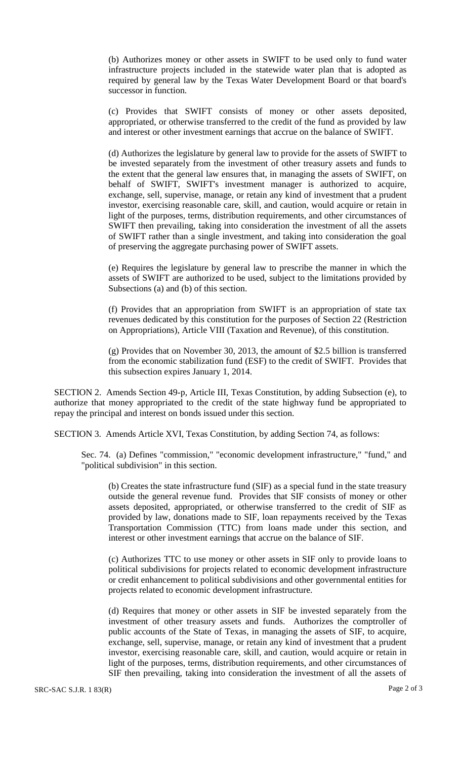(b) Authorizes money or other assets in SWIFT to be used only to fund water infrastructure projects included in the statewide water plan that is adopted as required by general law by the Texas Water Development Board or that board's successor in function.

(c) Provides that SWIFT consists of money or other assets deposited, appropriated, or otherwise transferred to the credit of the fund as provided by law and interest or other investment earnings that accrue on the balance of SWIFT.

(d) Authorizes the legislature by general law to provide for the assets of SWIFT to be invested separately from the investment of other treasury assets and funds to the extent that the general law ensures that, in managing the assets of SWIFT, on behalf of SWIFT, SWIFT's investment manager is authorized to acquire, exchange, sell, supervise, manage, or retain any kind of investment that a prudent investor, exercising reasonable care, skill, and caution, would acquire or retain in light of the purposes, terms, distribution requirements, and other circumstances of SWIFT then prevailing, taking into consideration the investment of all the assets of SWIFT rather than a single investment, and taking into consideration the goal of preserving the aggregate purchasing power of SWIFT assets.

(e) Requires the legislature by general law to prescribe the manner in which the assets of SWIFT are authorized to be used, subject to the limitations provided by Subsections (a) and (b) of this section.

(f) Provides that an appropriation from SWIFT is an appropriation of state tax revenues dedicated by this constitution for the purposes of Section 22 (Restriction on Appropriations), Article VIII (Taxation and Revenue), of this constitution.

(g) Provides that on November 30, 2013, the amount of \$2.5 billion is transferred from the economic stabilization fund (ESF) to the credit of SWIFT. Provides that this subsection expires January 1, 2014.

SECTION 2. Amends Section 49-p, Article III, Texas Constitution, by adding Subsection (e), to authorize that money appropriated to the credit of the state highway fund be appropriated to repay the principal and interest on bonds issued under this section.

SECTION 3. Amends Article XVI, Texas Constitution, by adding Section 74, as follows:

Sec. 74. (a) Defines "commission," "economic development infrastructure," "fund," and "political subdivision" in this section.

(b) Creates the state infrastructure fund (SIF) as a special fund in the state treasury outside the general revenue fund. Provides that SIF consists of money or other assets deposited, appropriated, or otherwise transferred to the credit of SIF as provided by law, donations made to SIF, loan repayments received by the Texas Transportation Commission (TTC) from loans made under this section, and interest or other investment earnings that accrue on the balance of SIF.

(c) Authorizes TTC to use money or other assets in SIF only to provide loans to political subdivisions for projects related to economic development infrastructure or credit enhancement to political subdivisions and other governmental entities for projects related to economic development infrastructure.

(d) Requires that money or other assets in SIF be invested separately from the investment of other treasury assets and funds. Authorizes the comptroller of public accounts of the State of Texas, in managing the assets of SIF, to acquire, exchange, sell, supervise, manage, or retain any kind of investment that a prudent investor, exercising reasonable care, skill, and caution, would acquire or retain in light of the purposes, terms, distribution requirements, and other circumstances of SIF then prevailing, taking into consideration the investment of all the assets of